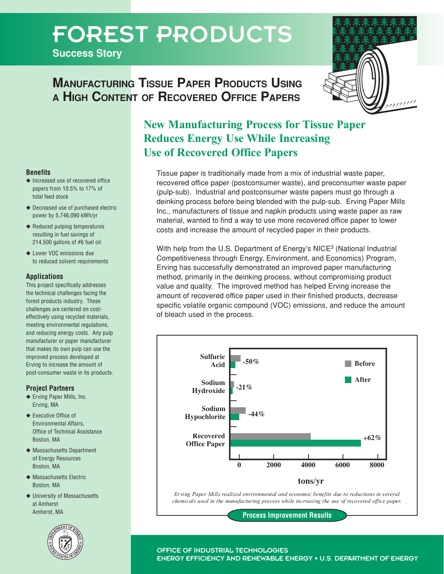# FOREST PRODUCTS

**Success Story**





# **New Manufacturing Process for Tissue Paper Reduces Energy Use While Increasing Use of Recovered Office Papers**

Tissue paper is traditionally made from a mix of industrial waste paper, recovered office paper (postconsumer waste), and preconsumer waste paper (pulp-sub). Industrial and postconsumer waste papers must go through a deinking process before being blended with the pulp-sub. Erving Paper Mills Inc., manufacturers of tissue and napkin products using waste paper as raw material, wanted to find a way to use more recovered office paper to lower costs and increase the amount of recycled paper in their products.

With help from the U.S. Department of Energy's NICE<sup>3</sup> (National Industrial Competitiveness through Energy, Environment, and Economics) Program, Erving has successfully demonstrated an improved paper manufacturing method, primarily in the deinking process, without compromising product value and quality. The improved method has helped Erving increase the amount of recovered office paper used in their finished products, decrease specific volatile organic compound (VOC) emissions, and reduce the amount of bleach used in the process.



*Erving Paper Mills realized environmental and economic benefits due to reductions in several chemicals used in the manufacturing process while increasing the use of recovered office paper.*

**Process Improvement Results**

# **Benefits**

- ◆ Increased use of recovered office papers from 10.5% to 17% of total feed stock
- ◆ Decreased use of purchased electric power by 5,746,090 kWh/yr
- ◆ Reduced pulping temperatures resulting in fuel savings of 214,500 gallons of #6 fuel oil
- ◆ Lower VOC emissions due to reduced solvent requirements

#### **Applications**

This project specifically addresses the technical challenges facing the forest products industry. These challenges are centered on costeffectively using recycled materials, meeting environmental regulations, and reducing energy costs. Any pulp manufacturer or paper manufacturer that makes its own pulp can use the improved process developed at Erving to increase the amount of post-consumer waste in its products.

### **Project Partners**

- ◆ Erving Paper Mills, Inc. Erving, MA
- ◆ Executive Office of Environmental Affairs, Office of Technical Assistance Boston, MA
- ◆ Massachusetts Department of Energy Resources Boston, MA
- ◆ Massachusetts Flectric Boston, MA
- ◆ University of Massachusetts at Amherst Amherst, MA